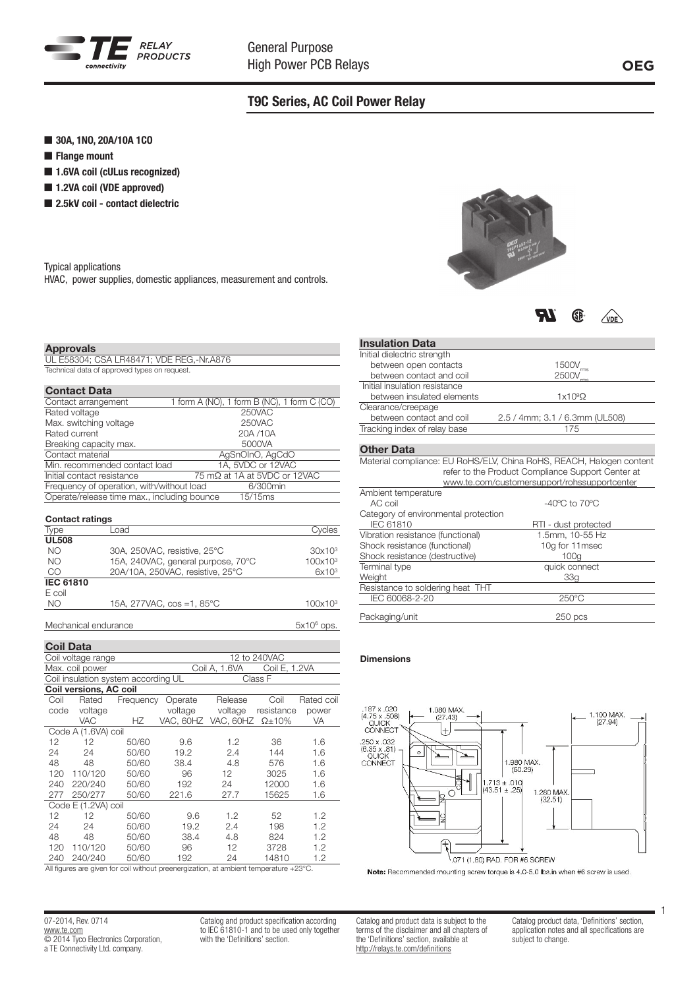

# T9C Series, AC Coil Power Relay

- 30A, 1NO, 20A/10A 1CO
- $\blacksquare$  Flange mount
- $\blacksquare$  1.6VA coil (cULus recognized)
- 1.2VA coil (VDE approved)
- $\blacksquare$  2.5kV coil contact dielectric

Typical applications

HVAC, power supplies, domestic appliances, measurement and controls.

## Approvals

UL E58304; CSA LR48471; VDE REG,-Nr.A876 Technical data of approved types on request.

## Contact Data

| 1 form A (NO), 1 form B (NC), 1 form C (CO)            |
|--------------------------------------------------------|
| 250VAC                                                 |
| 250VAC                                                 |
| 20A /10A                                               |
| 5000VA                                                 |
| AgSnOInO, AgCdO                                        |
| 1A, 5VDC or 12VAC<br>Min. recommended contact load     |
| 75 mΩ at 1A at 5VDC or 12VAC                           |
| Frequency of operation, with/without load<br>6/300min  |
| Operate/release time max., including bounce<br>15/15ms |
|                                                        |

| <b>Contact ratings</b> |                                     |                    |  |  |  |
|------------------------|-------------------------------------|--------------------|--|--|--|
| Type                   | Load                                | Cvcles             |  |  |  |
| <b>UL508</b>           |                                     |                    |  |  |  |
| NO.                    | 30A, 250VAC, resistive, 25°C        | 30x10 <sup>3</sup> |  |  |  |
| NO.                    | 15A, 240VAC, general purpose, 70°C  | $100x10^3$         |  |  |  |
| CO                     | 20A/10A, 250VAC, resistive, 25°C    | 6x10 <sup>3</sup>  |  |  |  |
| <b>IEC 61810</b>       |                                     |                    |  |  |  |
| E coil                 |                                     |                    |  |  |  |
| NO.                    | 15A, 277VAC, $cos =1, 85^{\circ}$ C | $100x10^3$         |  |  |  |
|                        |                                     |                    |  |  |  |

Mechanical endurance

Coil Data Coil voltage range 12 to 240VAC Max. coil power Coil A, 1.6VA Coil E, 1.2VA Coil insulation system according UL Class F **Coil versions, AC coil**<br>Coil Rated Frequ Frequency Operate Release Coil Rated coil<br>voltage voltage resistance power code voltage voltage voltage resistance power VAC HZ VAC, 60HZ VAC, 60HZ Ω±10% VA Code A (1.6VA) coil 12 12 50/60 9.6 1.2 36 1.6 24 24 50/60 19.2 2.4 144 1.6 48 48 50/60 38.4 4.8 576 1.6 120 110/120 50/60 96 12 3025 1.6 240 220/240 50/60 192 24 12000 1.6 250/277 Code E (1.2VA) coil 12 12 50/60 9.6 1.2 52 1.2 24 24 50/60 19.2 2.4 198 1.2 48 48 50/60 38.4 4.8 824 1.2 120 110/120 50/60 96 12 3728 1.2 240 240/240 50/60 192 24

All figures are given for coil without preenergization, at ambient temperature +23°C.

| 07-2014. Rev. 0714                   |
|--------------------------------------|
| www.te.com                           |
| © 2014 Tyco Electronics Corporation, |
| a TE Connectivity Ltd. company.      |

Catalog and product specification according to IEC 61810-1 and to be used only together with the 'Definitions' section.



**TR** GP.  $\sqrt{v}$ 

## Insulation Data

| Initial dielectric strength          |                                                                      |
|--------------------------------------|----------------------------------------------------------------------|
| between open contacts                | $1500V_{rms}$                                                        |
| between contact and coil             | 2500V                                                                |
| Initial insulation resistance        |                                                                      |
| between insulated elements           | $1x109\Omega$                                                        |
| Clearance/creepage                   |                                                                      |
| between contact and coil             | 2.5 / 4mm; 3.1 / 6.3mm (UL508)                                       |
| Tracking index of relay base         | 175                                                                  |
|                                      |                                                                      |
| <b>Other Data</b>                    |                                                                      |
|                                      | Material compliance: EU RoHS/ELV, China RoHS, REACH, Halogen content |
|                                      | refer to the Product Compliance Support Center at                    |
|                                      | www.te.com/customersupport/rohssupportcenter                         |
| Ambient temperature                  |                                                                      |
| AC coil                              | $-40^{\circ}$ C to $70^{\circ}$ C                                    |
| Category of environmental protection |                                                                      |
| <b>IEC 61810</b>                     | RTI - dust protected                                                 |
| Vibration resistance (functional)    | 1.5mm, 10-55 Hz                                                      |
| Shock resistance (functional)        | 10q for 11msec                                                       |
| Shock resistance (destructive)       | 100q                                                                 |
| Terminal type                        | quick connect                                                        |
| Weight                               | 33a                                                                  |
| Resistance to soldering heat THT     |                                                                      |
| IEC 60068-2-20                       | 250°C                                                                |
|                                      |                                                                      |

Packaging/unit 250 pcs

#### Dimensions

 $5x10^6$  ops.



Note: Recommended mounting screw torque is 4.0-5.0 lbs.in when #6 screw is used.

Catalog and product data is subject to the terms of the disclaimer and all chapters of the 'Definitions' section, available at http://relays.te.com/definitions

Catalog product data, 'Definitions' section, application notes and all specifications are subject to change.

1